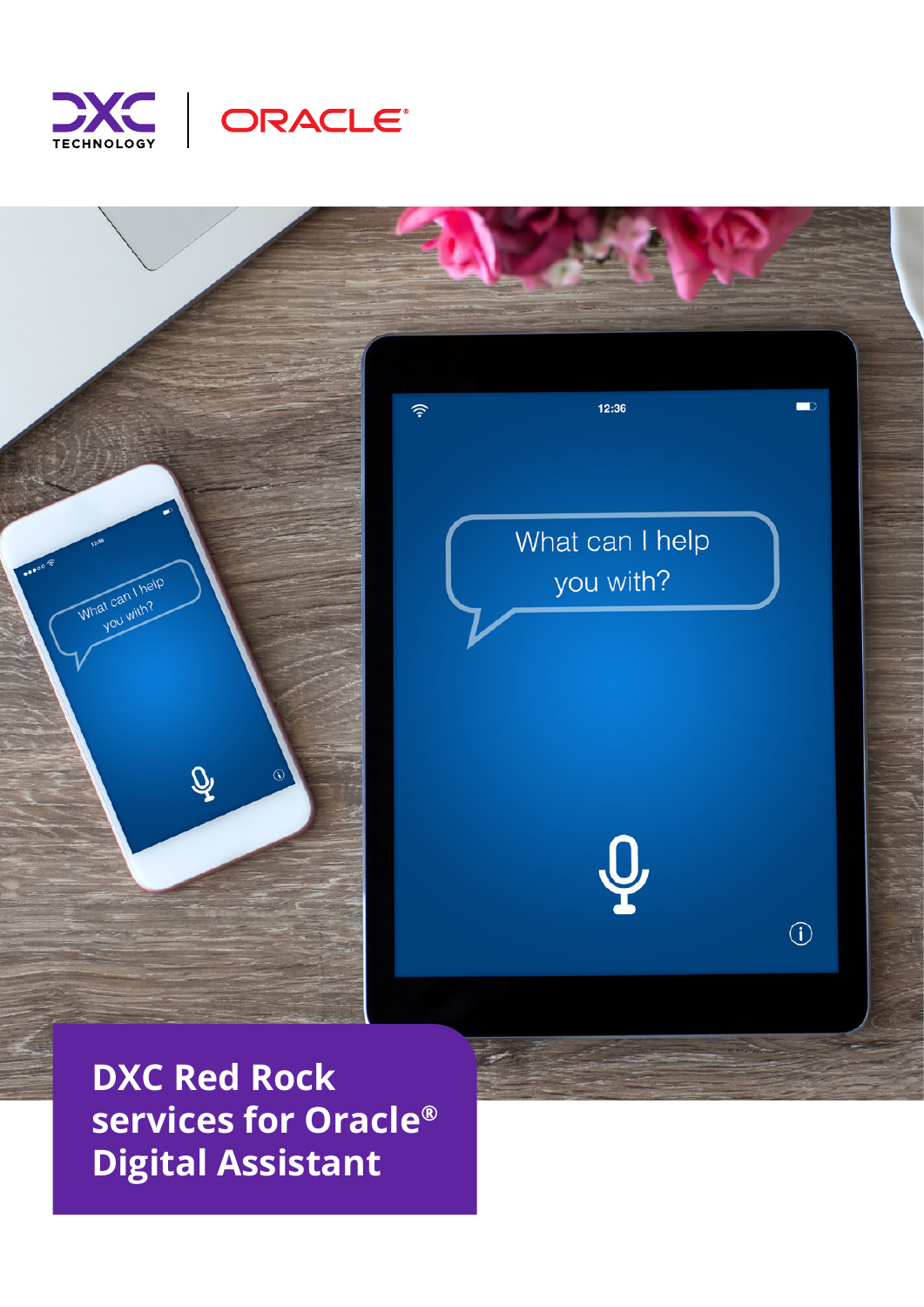





**DXC Red Rock services for Oracle® Digital Assistant**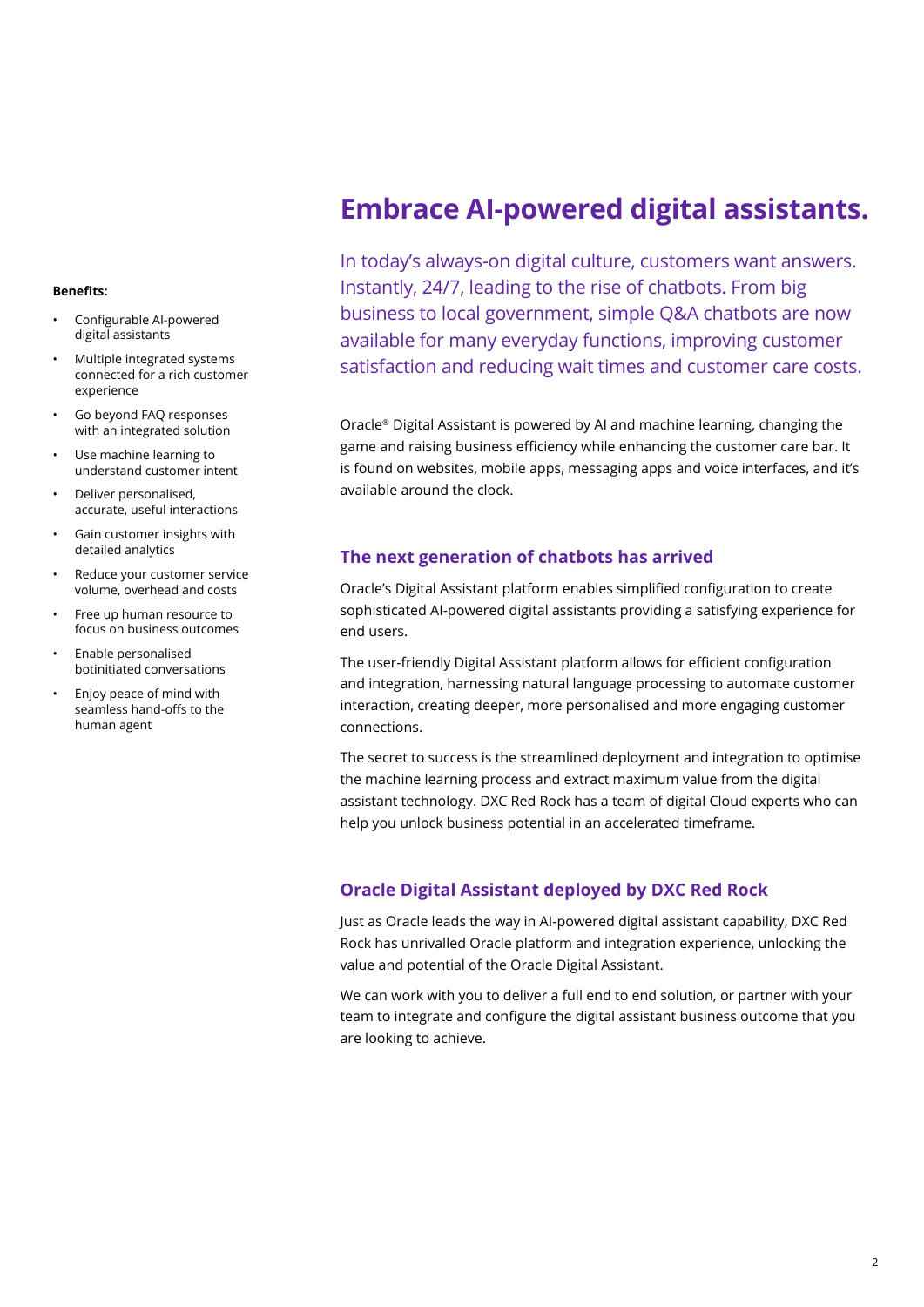#### **Benefits:**

- Configurable AI-powered digital assistants
- Multiple integrated systems connected for a rich customer experience
- Go beyond FAQ responses with an integrated solution
- Use machine learning to understand customer intent
- Deliver personalised, accurate, useful interactions
- Gain customer insights with detailed analytics
- Reduce your customer service volume, overhead and costs
- Free up human resource to focus on business outcomes
- Enable personalised botinitiated conversations
- Enjoy peace of mind with seamless hand-offs to the human agent

# **Embrace AI-powered digital assistants.**

In today's always-on digital culture, customers want answers. Instantly, 24/7, leading to the rise of chatbots. From big business to local government, simple Q&A chatbots are now available for many everyday functions, improving customer satisfaction and reducing wait times and customer care costs.

Oracle® Digital Assistant is powered by AI and machine learning, changing the game and raising business efficiency while enhancing the customer care bar. It is found on websites, mobile apps, messaging apps and voice interfaces, and it's available around the clock.

# **The next generation of chatbots has arrived**

Oracle's Digital Assistant platform enables simplified configuration to create sophisticated AI-powered digital assistants providing a satisfying experience for end users.

The user-friendly Digital Assistant platform allows for efficient configuration and integration, harnessing natural language processing to automate customer interaction, creating deeper, more personalised and more engaging customer connections.

The secret to success is the streamlined deployment and integration to optimise the machine learning process and extract maximum value from the digital assistant technology. DXC Red Rock has a team of digital Cloud experts who can help you unlock business potential in an accelerated timeframe.

# **Oracle Digital Assistant deployed by DXC Red Rock**

Just as Oracle leads the way in AI-powered digital assistant capability, DXC Red Rock has unrivalled Oracle platform and integration experience, unlocking the value and potential of the Oracle Digital Assistant.

We can work with you to deliver a full end to end solution, or partner with your team to integrate and configure the digital assistant business outcome that you are looking to achieve.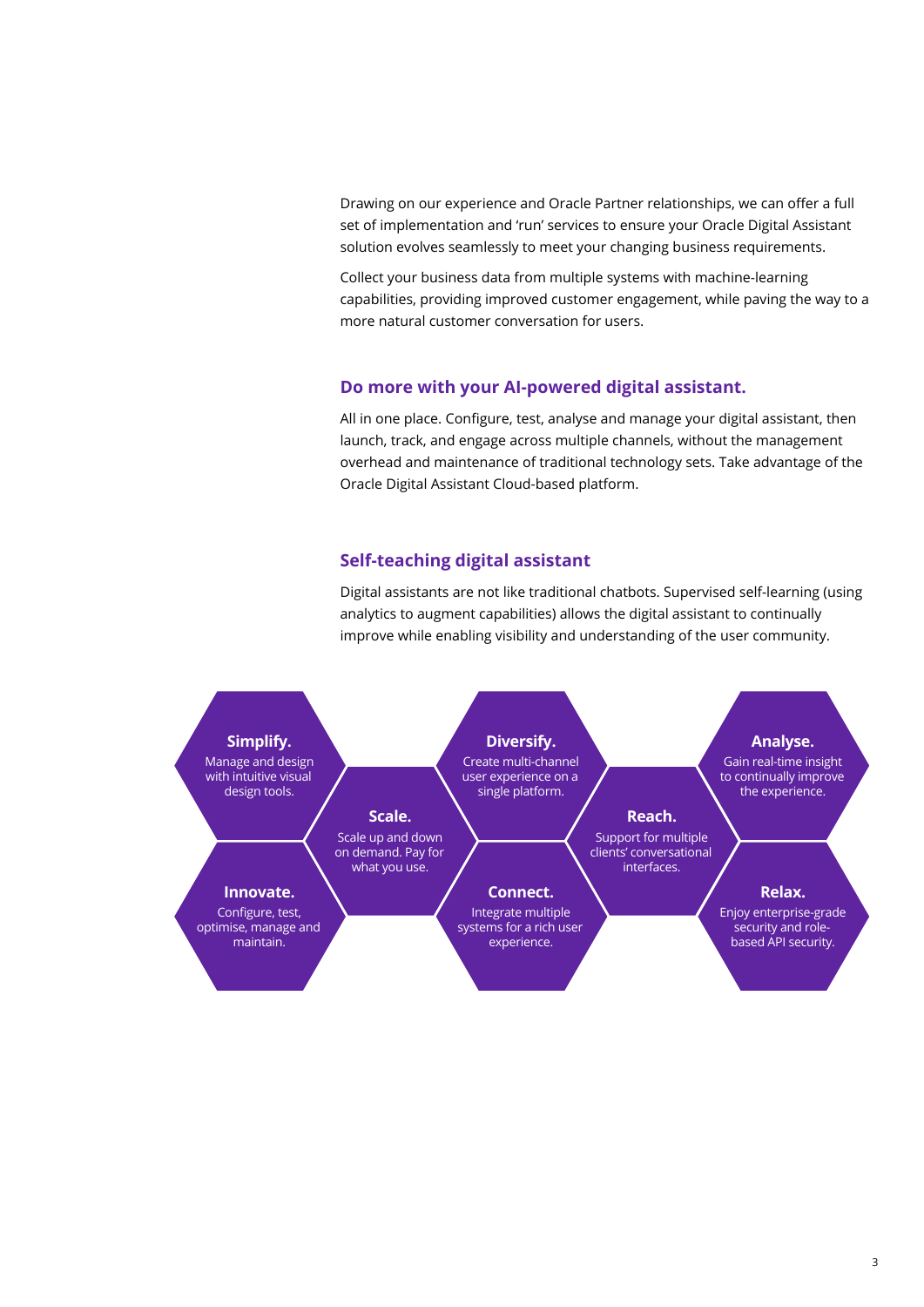Drawing on our experience and Oracle Partner relationships, we can offer a full set of implementation and 'run' services to ensure your Oracle Digital Assistant solution evolves seamlessly to meet your changing business requirements.

Collect your business data from multiple systems with machine-learning capabilities, providing improved customer engagement, while paving the way to a more natural customer conversation for users.

### **Do more with your AI-powered digital assistant.**

All in one place. Configure, test, analyse and manage your digital assistant, then launch, track, and engage across multiple channels, without the management overhead and maintenance of traditional technology sets. Take advantage of the Oracle Digital Assistant Cloud-based platform.

### **Self-teaching digital assistant**

Digital assistants are not like traditional chatbots. Supervised self-learning (using analytics to augment capabilities) allows the digital assistant to continually improve while enabling visibility and understanding of the user community.

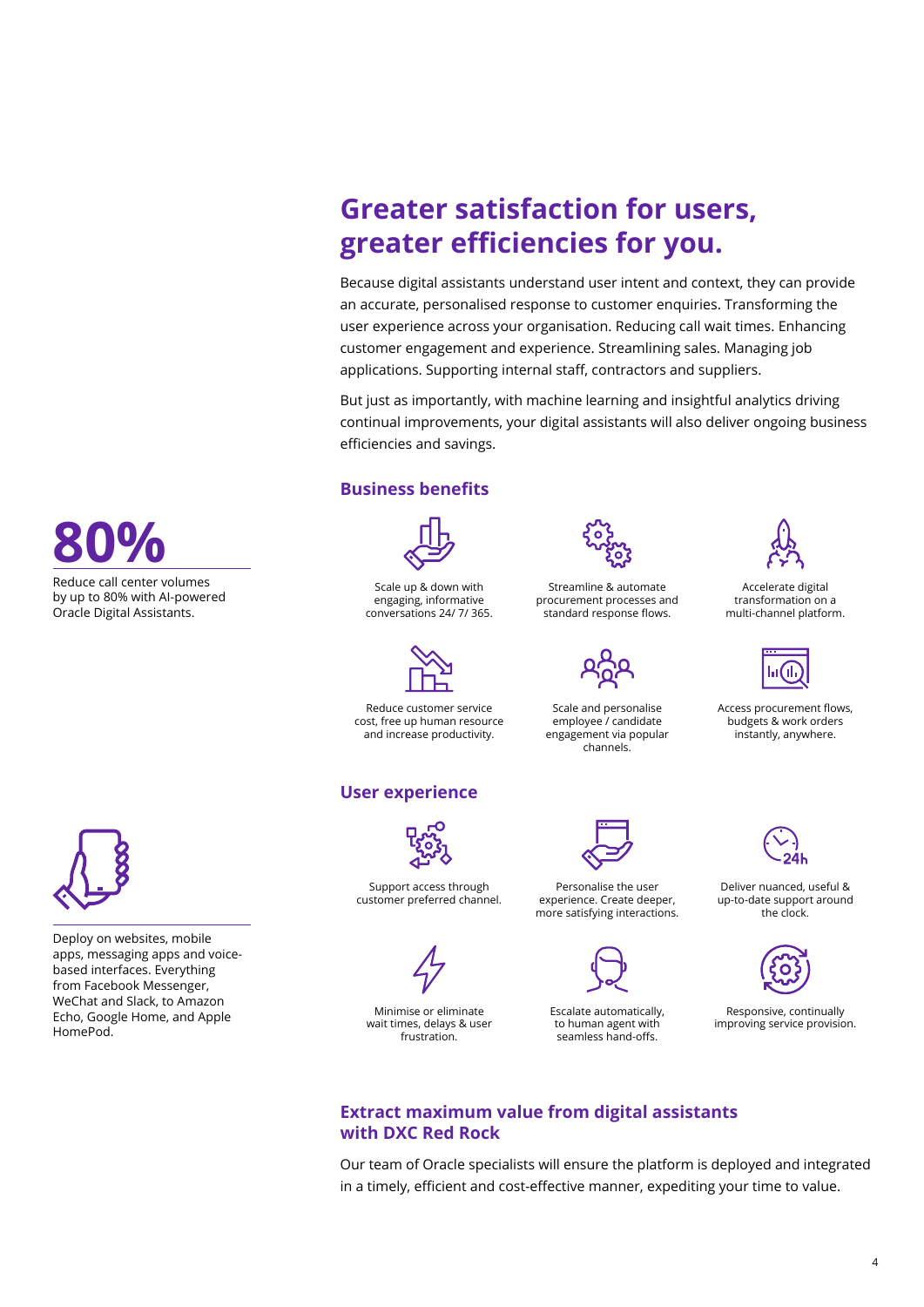# **Greater satisfaction for users, greater efficiencies for you.**

Because digital assistants understand user intent and context, they can provide an accurate, personalised response to customer enquiries. Transforming the user experience across your organisation. Reducing call wait times. Enhancing customer engagement and experience. Streamlining sales. Managing job applications. Supporting internal staff, contractors and suppliers.

But just as importantly, with machine learning and insightful analytics driving continual improvements, your digital assistants will also deliver ongoing business efficiencies and savings.

# **Business benefits**



Scale up & down with engaging, informative conversations 24/ 7/ 365.



Reduce customer service cost, free up human resource and increase productivity.

### **User experience**



Streamline & automate procurement processes and standard response flows.

Scale and personalise employee / candidate engagement via popular channels.





Accelerate digital transformation on a multi-channel platform.

Access procurement flows, budgets & work orders instantly, anywhere.

Deliver nuanced, useful & up-to-date support around the clock.



Responsive, continually improving service provision.



Deploy on websites, mobile apps, messaging apps and voicebased interfaces. Everything from Facebook Messenger, WeChat and Slack, to Amazon Echo, Google Home, and Apple HomePod.

Minimise or eliminate wait times, delays & user frustration.

Support access through customer preferred channel.

> Escalate automatically, to human agent with seamless hand-offs.

Personalise the user experience. Create deeper, more satisfying interactions.



Our team of Oracle specialists will ensure the platform is deployed and integrated in a timely, efficient and cost-effective manner, expediting your time to value.



Reduce call center volumes by up to 80% with AI-powered Oracle Digital Assistants.

4